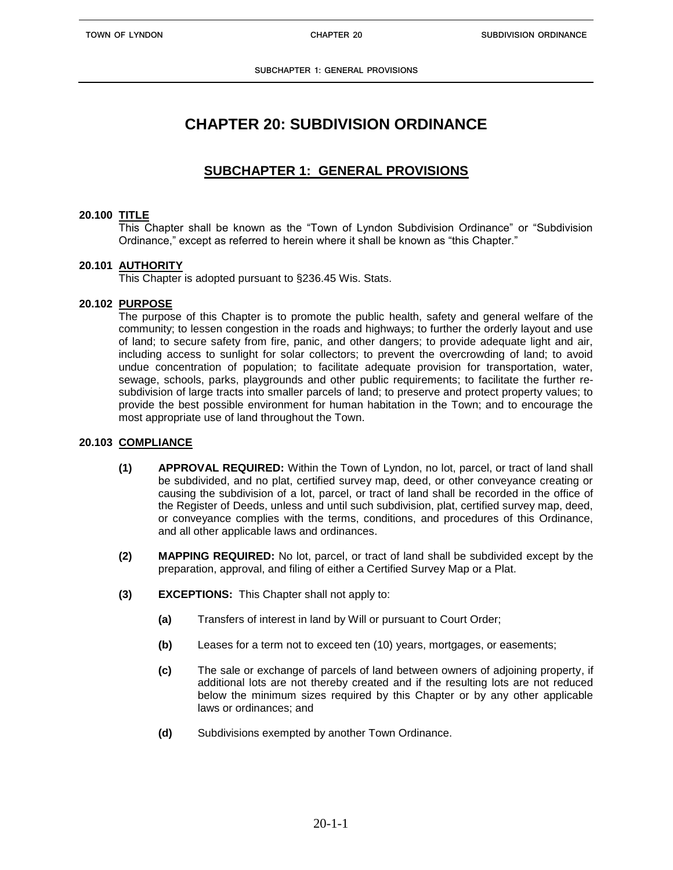**SUBCHAPTER 1: GENERAL PROVISIONS**

# **CHAPTER 20: SUBDIVISION ORDINANCE**

## **SUBCHAPTER 1: GENERAL PROVISIONS**

## **20.100 TITLE**

This Chapter shall be known as the "Town of Lyndon Subdivision Ordinance" or "Subdivision Ordinance," except as referred to herein where it shall be known as "this Chapter."

## **20.101 AUTHORITY**

This Chapter is adopted pursuant to §236.45 Wis. Stats.

## **20.102 PURPOSE**

The purpose of this Chapter is to promote the public health, safety and general welfare of the community; to lessen congestion in the roads and highways; to further the orderly layout and use of land; to secure safety from fire, panic, and other dangers; to provide adequate light and air, including access to sunlight for solar collectors; to prevent the overcrowding of land; to avoid undue concentration of population; to facilitate adequate provision for transportation, water, sewage, schools, parks, playgrounds and other public requirements; to facilitate the further resubdivision of large tracts into smaller parcels of land; to preserve and protect property values; to provide the best possible environment for human habitation in the Town; and to encourage the most appropriate use of land throughout the Town.

## **20.103 COMPLIANCE**

- **(1) APPROVAL REQUIRED:** Within the Town of Lyndon, no lot, parcel, or tract of land shall be subdivided, and no plat, certified survey map, deed, or other conveyance creating or causing the subdivision of a lot, parcel, or tract of land shall be recorded in the office of the Register of Deeds, unless and until such subdivision, plat, certified survey map, deed, or conveyance complies with the terms, conditions, and procedures of this Ordinance, and all other applicable laws and ordinances.
- **(2) MAPPING REQUIRED:** No lot, parcel, or tract of land shall be subdivided except by the preparation, approval, and filing of either a Certified Survey Map or a Plat.
- **(3) EXCEPTIONS:** This Chapter shall not apply to:
	- **(a)** Transfers of interest in land by Will or pursuant to Court Order;
	- **(b)** Leases for a term not to exceed ten (10) years, mortgages, or easements;
	- **(c)** The sale or exchange of parcels of land between owners of adjoining property, if additional lots are not thereby created and if the resulting lots are not reduced below the minimum sizes required by this Chapter or by any other applicable laws or ordinances; and
	- **(d)** Subdivisions exempted by another Town Ordinance.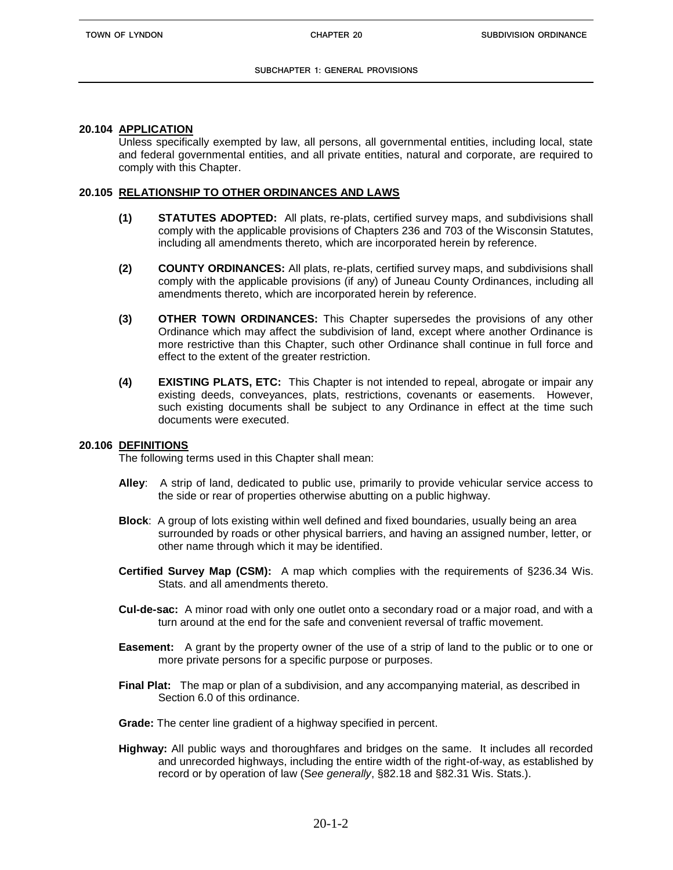#### **SUBCHAPTER 1: GENERAL PROVISIONS**

## **20.104 APPLICATION**

Unless specifically exempted by law, all persons, all governmental entities, including local, state and federal governmental entities, and all private entities, natural and corporate, are required to comply with this Chapter.

## **20.105 RELATIONSHIP TO OTHER ORDINANCES AND LAWS**

- **(1) STATUTES ADOPTED:** All plats, re-plats, certified survey maps, and subdivisions shall comply with the applicable provisions of Chapters 236 and 703 of the Wisconsin Statutes, including all amendments thereto, which are incorporated herein by reference.
- **(2) COUNTY ORDINANCES:** All plats, re-plats, certified survey maps, and subdivisions shall comply with the applicable provisions (if any) of Juneau County Ordinances, including all amendments thereto, which are incorporated herein by reference.
- **(3) OTHER TOWN ORDINANCES:** This Chapter supersedes the provisions of any other Ordinance which may affect the subdivision of land, except where another Ordinance is more restrictive than this Chapter, such other Ordinance shall continue in full force and effect to the extent of the greater restriction.
- **(4) EXISTING PLATS, ETC:** This Chapter is not intended to repeal, abrogate or impair any existing deeds, conveyances, plats, restrictions, covenants or easements. However, such existing documents shall be subject to any Ordinance in effect at the time such documents were executed.

## **20.106 DEFINITIONS**

The following terms used in this Chapter shall mean:

- **Alley**: A strip of land, dedicated to public use, primarily to provide vehicular service access to the side or rear of properties otherwise abutting on a public highway.
- **Block**: A group of lots existing within well defined and fixed boundaries, usually being an area surrounded by roads or other physical barriers, and having an assigned number, letter, or other name through which it may be identified.
- **Certified Survey Map (CSM):** A map which complies with the requirements of §236.34 Wis. Stats. and all amendments thereto.
- **Cul-de-sac:** A minor road with only one outlet onto a secondary road or a major road, and with a turn around at the end for the safe and convenient reversal of traffic movement.
- **Easement:** A grant by the property owner of the use of a strip of land to the public or to one or more private persons for a specific purpose or purposes.
- **Final Plat:** The map or plan of a subdivision, and any accompanying material, as described in Section 6.0 of this ordinance.
- **Grade:** The center line gradient of a highway specified in percent.
- **Highway:** All public ways and thoroughfares and bridges on the same. It includes all recorded and unrecorded highways, including the entire width of the right-of-way, as established by record or by operation of law (S*ee generally*, §82.18 and §82.31 Wis. Stats.).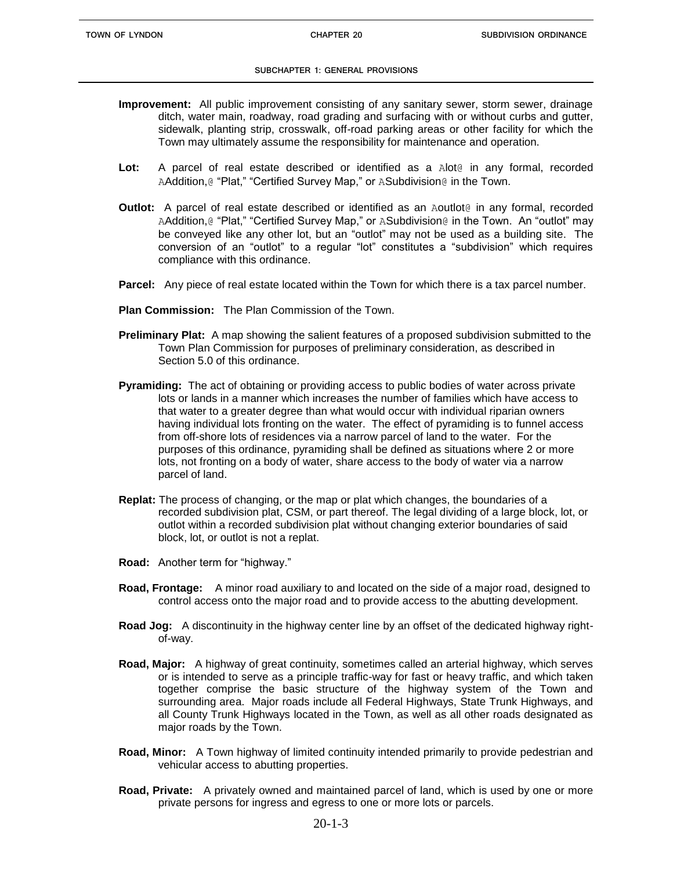#### **SUBCHAPTER 1: GENERAL PROVISIONS**

- **Improvement:** All public improvement consisting of any sanitary sewer, storm sewer, drainage ditch, water main, roadway, road grading and surfacing with or without curbs and gutter, sidewalk, planting strip, crosswalk, off-road parking areas or other facility for which the Town may ultimately assume the responsibility for maintenance and operation.
- **Lot:** A parcel of real estate described or identified as a Alot@ in any formal, recorded AAddition, @ "Plat," "Certified Survey Map," or ASubdivision@ in the Town.
- **Outlot:** A parcel of real estate described or identified as an Aoutlot<sup>®</sup> in any formal, recorded AAddition, @ "Plat," "Certified Survey Map," or ASubdivision @ in the Town. An "outlot" may be conveyed like any other lot, but an "outlot" may not be used as a building site. The conversion of an "outlot" to a regular "lot" constitutes a "subdivision" which requires compliance with this ordinance.
- **Parcel:** Any piece of real estate located within the Town for which there is a tax parcel number.
- **Plan Commission:** The Plan Commission of the Town.
- **Preliminary Plat:** A map showing the salient features of a proposed subdivision submitted to the Town Plan Commission for purposes of preliminary consideration, as described in Section 5.0 of this ordinance.
- **Pyramiding:** The act of obtaining or providing access to public bodies of water across private lots or lands in a manner which increases the number of families which have access to that water to a greater degree than what would occur with individual riparian owners having individual lots fronting on the water. The effect of pyramiding is to funnel access from off-shore lots of residences via a narrow parcel of land to the water. For the purposes of this ordinance, pyramiding shall be defined as situations where 2 or more lots, not fronting on a body of water, share access to the body of water via a narrow parcel of land.
- **Replat:** The process of changing, or the map or plat which changes, the boundaries of a recorded subdivision plat, CSM, or part thereof. The legal dividing of a large block, lot, or outlot within a recorded subdivision plat without changing exterior boundaries of said block, lot, or outlot is not a replat.
- **Road:** Another term for "highway."
- **Road, Frontage:** A minor road auxiliary to and located on the side of a major road, designed to control access onto the major road and to provide access to the abutting development.
- **Road Jog:** A discontinuity in the highway center line by an offset of the dedicated highway rightof-way.
- **Road, Major:** A highway of great continuity, sometimes called an arterial highway, which serves or is intended to serve as a principle traffic-way for fast or heavy traffic, and which taken together comprise the basic structure of the highway system of the Town and surrounding area. Major roads include all Federal Highways, State Trunk Highways, and all County Trunk Highways located in the Town, as well as all other roads designated as major roads by the Town.
- **Road, Minor:** A Town highway of limited continuity intended primarily to provide pedestrian and vehicular access to abutting properties.
- **Road, Private:** A privately owned and maintained parcel of land, which is used by one or more private persons for ingress and egress to one or more lots or parcels.